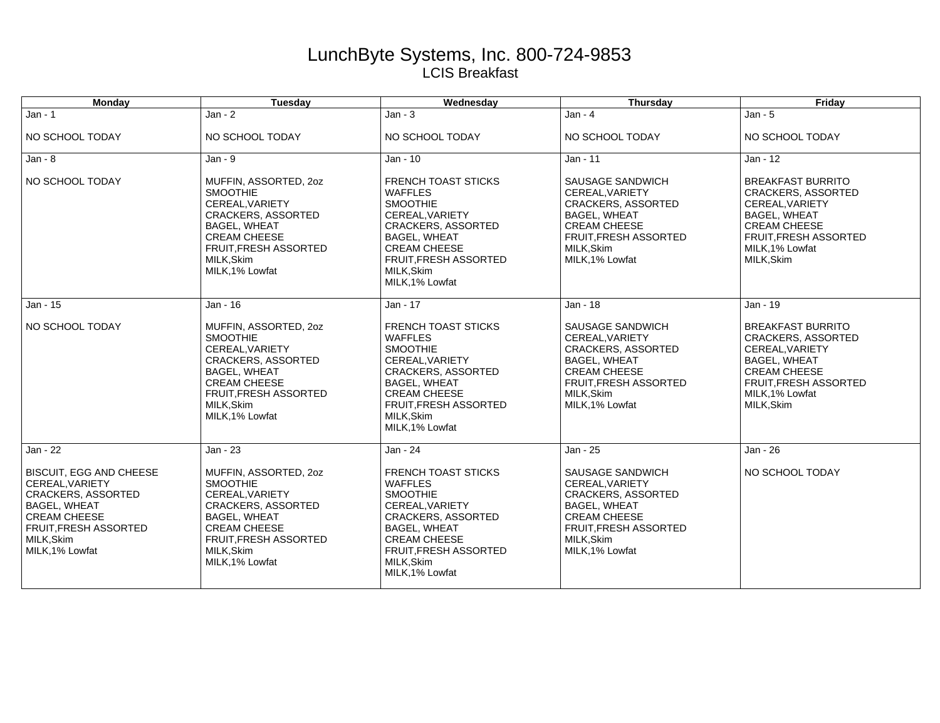## LunchByte Systems, Inc. 800-724-9853 LCIS Breakfast

| <b>Monday</b>                                                                                                                                                                         | Tuesday                                                                                                                                                                                          | Wednesday                                                                                                                                                                                                                      | <b>Thursday</b>                                                                                                                                                              | Friday                                                                                                                                                                          |
|---------------------------------------------------------------------------------------------------------------------------------------------------------------------------------------|--------------------------------------------------------------------------------------------------------------------------------------------------------------------------------------------------|--------------------------------------------------------------------------------------------------------------------------------------------------------------------------------------------------------------------------------|------------------------------------------------------------------------------------------------------------------------------------------------------------------------------|---------------------------------------------------------------------------------------------------------------------------------------------------------------------------------|
| $Jan - 1$                                                                                                                                                                             | $Jan - 2$                                                                                                                                                                                        | $Jan - 3$                                                                                                                                                                                                                      | $Jan - 4$                                                                                                                                                                    | $Jan - 5$                                                                                                                                                                       |
| NO SCHOOL TODAY                                                                                                                                                                       | NO SCHOOL TODAY                                                                                                                                                                                  | NO SCHOOL TODAY                                                                                                                                                                                                                | NO SCHOOL TODAY                                                                                                                                                              | NO SCHOOL TODAY                                                                                                                                                                 |
| $Jan - 8$                                                                                                                                                                             | $Jan - 9$                                                                                                                                                                                        | Jan - 10                                                                                                                                                                                                                       | Jan - 11                                                                                                                                                                     | Jan - 12                                                                                                                                                                        |
| NO SCHOOL TODAY                                                                                                                                                                       | MUFFIN, ASSORTED, 20Z<br><b>SMOOTHIE</b><br>CEREAL, VARIETY<br><b>CRACKERS, ASSORTED</b><br><b>BAGEL, WHEAT</b><br><b>CREAM CHEESE</b><br>FRUIT, FRESH ASSORTED<br>MILK, Skim<br>MILK, 1% Lowfat | <b>FRENCH TOAST STICKS</b><br><b>WAFFLES</b><br><b>SMOOTHIE</b><br>CEREAL, VARIETY<br><b>CRACKERS, ASSORTED</b><br><b>BAGEL, WHEAT</b><br><b>CREAM CHEESE</b><br><b>FRUIT, FRESH ASSORTED</b><br>MILK.Skim<br>MILK, 1% Lowfat  | SAUSAGE SANDWICH<br>CEREAL, VARIETY<br><b>CRACKERS, ASSORTED</b><br><b>BAGEL, WHEAT</b><br><b>CREAM CHEESE</b><br>FRUIT, FRESH ASSORTED<br>MILK.Skim<br>MILK, 1% Lowfat      | <b>BREAKFAST BURRITO</b><br><b>CRACKERS, ASSORTED</b><br>CEREAL, VARIETY<br><b>BAGEL, WHEAT</b><br><b>CREAM CHEESE</b><br>FRUIT, FRESH ASSORTED<br>MILK.1% Lowfat<br>MILK, Skim |
| Jan - 15                                                                                                                                                                              | Jan - 16                                                                                                                                                                                         | Jan - 17                                                                                                                                                                                                                       | Jan - 18                                                                                                                                                                     | Jan - 19                                                                                                                                                                        |
| NO SCHOOL TODAY                                                                                                                                                                       | MUFFIN, ASSORTED, 20Z<br><b>SMOOTHIE</b><br>CEREAL.VARIETY<br><b>CRACKERS, ASSORTED</b><br><b>BAGEL, WHEAT</b><br><b>CREAM CHEESE</b><br>FRUIT, FRESH ASSORTED<br>MILK, Skim<br>MILK, 1% Lowfat  | <b>FRENCH TOAST STICKS</b><br><b>WAFFLES</b><br><b>SMOOTHIE</b><br>CEREAL.VARIETY<br><b>CRACKERS, ASSORTED</b><br><b>BAGEL, WHEAT</b><br><b>CREAM CHEESE</b><br><b>FRUIT, FRESH ASSORTED</b><br>MILK, Skim<br>MILK, 1% Lowfat  | SAUSAGE SANDWICH<br>CEREAL.VARIETY<br><b>CRACKERS, ASSORTED</b><br><b>BAGEL, WHEAT</b><br><b>CREAM CHEESE</b><br>FRUIT, FRESH ASSORTED<br>MILK, Skim<br>MILK, 1% Lowfat      | <b>BREAKFAST BURRITO</b><br>CRACKERS, ASSORTED<br>CEREAL.VARIETY<br><b>BAGEL, WHEAT</b><br><b>CREAM CHEESE</b><br>FRUIT, FRESH ASSORTED<br>MILK, 1% Lowfat<br>MILK, Skim        |
| Jan - 22                                                                                                                                                                              | Jan - 23                                                                                                                                                                                         | Jan - 24                                                                                                                                                                                                                       | Jan - 25                                                                                                                                                                     | Jan - 26                                                                                                                                                                        |
| <b>BISCUIT, EGG AND CHEESE</b><br>CEREAL.VARIETY<br><b>CRACKERS, ASSORTED</b><br><b>BAGEL, WHEAT</b><br><b>CREAM CHEESE</b><br>FRUIT, FRESH ASSORTED<br>MILK, Skim<br>MILK, 1% Lowfat | MUFFIN, ASSORTED, 20Z<br><b>SMOOTHIE</b><br>CEREAL, VARIETY<br><b>CRACKERS, ASSORTED</b><br><b>BAGEL, WHEAT</b><br><b>CREAM CHEESE</b><br>FRUIT, FRESH ASSORTED<br>MILK, Skim<br>MILK, 1% Lowfat | <b>FRENCH TOAST STICKS</b><br><b>WAFFLES</b><br><b>SMOOTHIE</b><br>CEREAL, VARIETY<br><b>CRACKERS, ASSORTED</b><br><b>BAGEL, WHEAT</b><br><b>CREAM CHEESE</b><br><b>FRUIT, FRESH ASSORTED</b><br>MILK, Skim<br>MILK, 1% Lowfat | SAUSAGE SANDWICH<br>CEREAL.VARIETY<br><b>CRACKERS, ASSORTED</b><br><b>BAGEL, WHEAT</b><br><b>CREAM CHEESE</b><br><b>FRUIT.FRESH ASSORTED</b><br>MILK.Skim<br>MILK, 1% Lowfat | NO SCHOOL TODAY                                                                                                                                                                 |